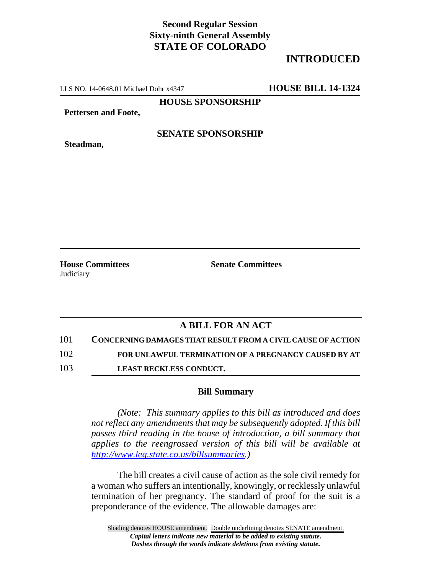## **Second Regular Session Sixty-ninth General Assembly STATE OF COLORADO**

# **INTRODUCED**

LLS NO. 14-0648.01 Michael Dohr x4347 **HOUSE BILL 14-1324**

**HOUSE SPONSORSHIP**

**Pettersen and Foote,**

**Steadman,**

#### **SENATE SPONSORSHIP**

**House Committees Senate Committees** Judiciary

## **A BILL FOR AN ACT**

101 **CONCERNING DAMAGES THAT RESULT FROM A CIVIL CAUSE OF ACTION**

102 **FOR UNLAWFUL TERMINATION OF A PREGNANCY CAUSED BY AT**

103 **LEAST RECKLESS CONDUCT.**

#### **Bill Summary**

*(Note: This summary applies to this bill as introduced and does not reflect any amendments that may be subsequently adopted. If this bill passes third reading in the house of introduction, a bill summary that applies to the reengrossed version of this bill will be available at http://www.leg.state.co.us/billsummaries.)*

The bill creates a civil cause of action as the sole civil remedy for a woman who suffers an intentionally, knowingly, or recklessly unlawful termination of her pregnancy. The standard of proof for the suit is a preponderance of the evidence. The allowable damages are: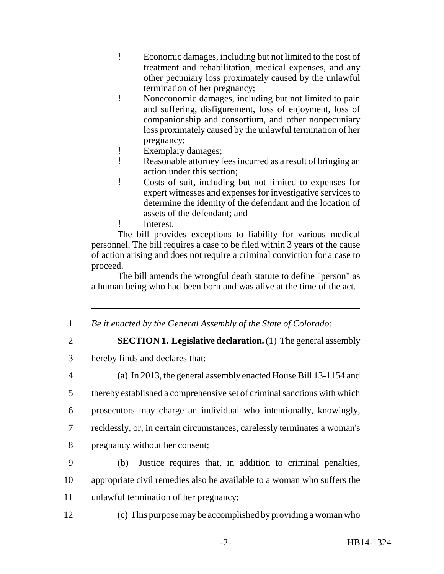- ! Economic damages, including but not limited to the cost of treatment and rehabilitation, medical expenses, and any other pecuniary loss proximately caused by the unlawful termination of her pregnancy;
- ! Noneconomic damages, including but not limited to pain and suffering, disfigurement, loss of enjoyment, loss of companionship and consortium, and other nonpecuniary loss proximately caused by the unlawful termination of her pregnancy;
- ! Exemplary damages;
- ! Reasonable attorney fees incurred as a result of bringing an action under this section;
- ! Costs of suit, including but not limited to expenses for expert witnesses and expenses for investigative services to determine the identity of the defendant and the location of assets of the defendant; and
- ! Interest.

The bill provides exceptions to liability for various medical personnel. The bill requires a case to be filed within 3 years of the cause of action arising and does not require a criminal conviction for a case to proceed.

The bill amends the wrongful death statute to define "person" as a human being who had been born and was alive at the time of the act.

- 1 *Be it enacted by the General Assembly of the State of Colorado:*
- 

### 2 **SECTION 1. Legislative declaration.** (1) The general assembly

- 3 hereby finds and declares that:
- 

4 (a) In 2013, the general assembly enacted House Bill 13-1154 and

5 thereby established a comprehensive set of criminal sanctions with which

6 prosecutors may charge an individual who intentionally, knowingly,

7 recklessly, or, in certain circumstances, carelessly terminates a woman's

- 8 pregnancy without her consent;
- 9 (b) Justice requires that, in addition to criminal penalties, 10 appropriate civil remedies also be available to a woman who suffers the 11 unlawful termination of her pregnancy;
- 12 (c) This purpose may be accomplished by providing a woman who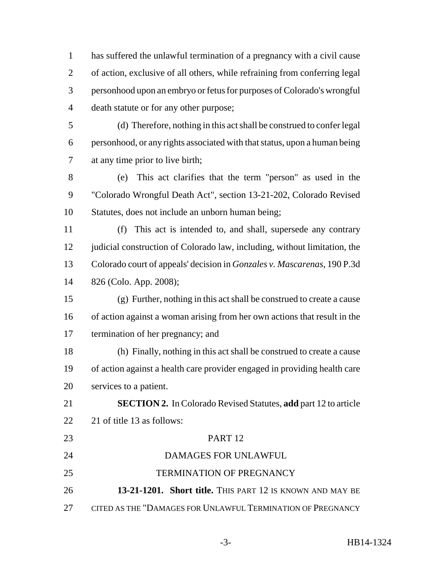has suffered the unlawful termination of a pregnancy with a civil cause of action, exclusive of all others, while refraining from conferring legal personhood upon an embryo or fetus for purposes of Colorado's wrongful death statute or for any other purpose;

 (d) Therefore, nothing in this act shall be construed to confer legal personhood, or any rights associated with that status, upon a human being at any time prior to live birth;

 (e) This act clarifies that the term "person" as used in the "Colorado Wrongful Death Act", section 13-21-202, Colorado Revised Statutes, does not include an unborn human being;

 (f) This act is intended to, and shall, supersede any contrary 12 judicial construction of Colorado law, including, without limitation, the Colorado court of appeals' decision in *Gonzales v. Mascarenas,* 190 P.3d 826 (Colo. App. 2008);

- (g) Further, nothing in this act shall be construed to create a cause of action against a woman arising from her own actions that result in the termination of her pregnancy; and
- (h) Finally, nothing in this act shall be construed to create a cause of action against a health care provider engaged in providing health care services to a patient.

 **SECTION 2.** In Colorado Revised Statutes, **add** part 12 to article 21 of title 13 as follows:

 PART 12 DAMAGES FOR UNLAWFUL 25 TERMINATION OF PREGNANCY **13-21-1201. Short title.** THIS PART 12 IS KNOWN AND MAY BE CITED AS THE "DAMAGES FOR UNLAWFUL TERMINATION OF PREGNANCY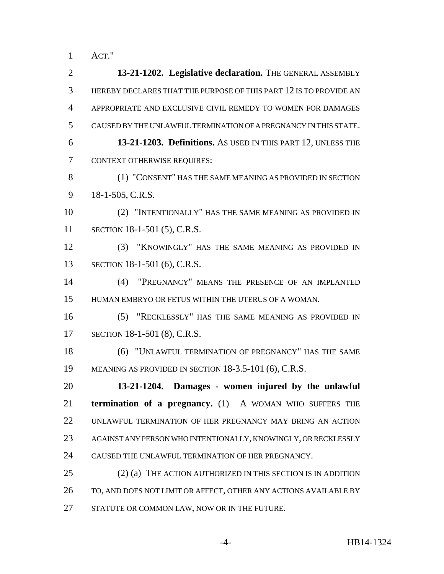ACT."

 **13-21-1202. Legislative declaration.** THE GENERAL ASSEMBLY HEREBY DECLARES THAT THE PURPOSE OF THIS PART 12 IS TO PROVIDE AN APPROPRIATE AND EXCLUSIVE CIVIL REMEDY TO WOMEN FOR DAMAGES CAUSED BY THE UNLAWFUL TERMINATION OF A PREGNANCY IN THIS STATE. **13-21-1203. Definitions.** AS USED IN THIS PART 12, UNLESS THE CONTEXT OTHERWISE REQUIRES: (1) "CONSENT" HAS THE SAME MEANING AS PROVIDED IN SECTION 18-1-505, C.R.S. (2) "INTENTIONALLY" HAS THE SAME MEANING AS PROVIDED IN SECTION 18-1-501 (5), C.R.S. (3) "KNOWINGLY" HAS THE SAME MEANING AS PROVIDED IN SECTION 18-1-501 (6), C.R.S. (4) "PREGNANCY" MEANS THE PRESENCE OF AN IMPLANTED HUMAN EMBRYO OR FETUS WITHIN THE UTERUS OF A WOMAN. (5) "RECKLESSLY" HAS THE SAME MEANING AS PROVIDED IN SECTION 18-1-501 (8), C.R.S. (6) "UNLAWFUL TERMINATION OF PREGNANCY" HAS THE SAME MEANING AS PROVIDED IN SECTION 18-3.5-101 (6), C.R.S. **13-21-1204. Damages - women injured by the unlawful termination of a pregnancy.** (1) A WOMAN WHO SUFFERS THE UNLAWFUL TERMINATION OF HER PREGNANCY MAY BRING AN ACTION AGAINST ANY PERSON WHO INTENTIONALLY, KNOWINGLY, OR RECKLESSLY CAUSED THE UNLAWFUL TERMINATION OF HER PREGNANCY. (2) (a) THE ACTION AUTHORIZED IN THIS SECTION IS IN ADDITION TO, AND DOES NOT LIMIT OR AFFECT, OTHER ANY ACTIONS AVAILABLE BY STATUTE OR COMMON LAW, NOW OR IN THE FUTURE.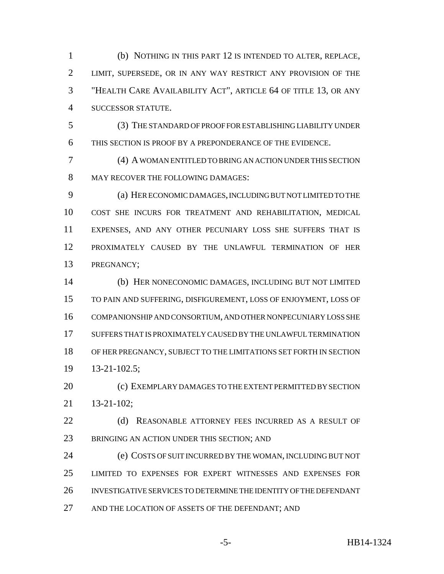(b) NOTHING IN THIS PART 12 IS INTENDED TO ALTER, REPLACE, LIMIT, SUPERSEDE, OR IN ANY WAY RESTRICT ANY PROVISION OF THE "HEALTH CARE AVAILABILITY ACT", ARTICLE 64 OF TITLE 13, OR ANY SUCCESSOR STATUTE.

 (3) THE STANDARD OF PROOF FOR ESTABLISHING LIABILITY UNDER THIS SECTION IS PROOF BY A PREPONDERANCE OF THE EVIDENCE.

 (4) A WOMAN ENTITLED TO BRING AN ACTION UNDER THIS SECTION 8 MAY RECOVER THE FOLLOWING DAMAGES:

 (a) HER ECONOMIC DAMAGES, INCLUDING BUT NOT LIMITED TO THE COST SHE INCURS FOR TREATMENT AND REHABILITATION, MEDICAL EXPENSES, AND ANY OTHER PECUNIARY LOSS SHE SUFFERS THAT IS PROXIMATELY CAUSED BY THE UNLAWFUL TERMINATION OF HER PREGNANCY;

 (b) HER NONECONOMIC DAMAGES, INCLUDING BUT NOT LIMITED TO PAIN AND SUFFERING, DISFIGUREMENT, LOSS OF ENJOYMENT, LOSS OF COMPANIONSHIP AND CONSORTIUM, AND OTHER NONPECUNIARY LOSS SHE SUFFERS THAT IS PROXIMATELY CAUSED BY THE UNLAWFUL TERMINATION OF HER PREGNANCY, SUBJECT TO THE LIMITATIONS SET FORTH IN SECTION 13-21-102.5;

 (c) EXEMPLARY DAMAGES TO THE EXTENT PERMITTED BY SECTION 13-21-102;

22 (d) REASONABLE ATTORNEY FEES INCURRED AS A RESULT OF 23 BRINGING AN ACTION UNDER THIS SECTION; AND

 (e) COSTS OF SUIT INCURRED BY THE WOMAN, INCLUDING BUT NOT LIMITED TO EXPENSES FOR EXPERT WITNESSES AND EXPENSES FOR INVESTIGATIVE SERVICES TO DETERMINE THE IDENTITY OF THE DEFENDANT 27 AND THE LOCATION OF ASSETS OF THE DEFENDANT; AND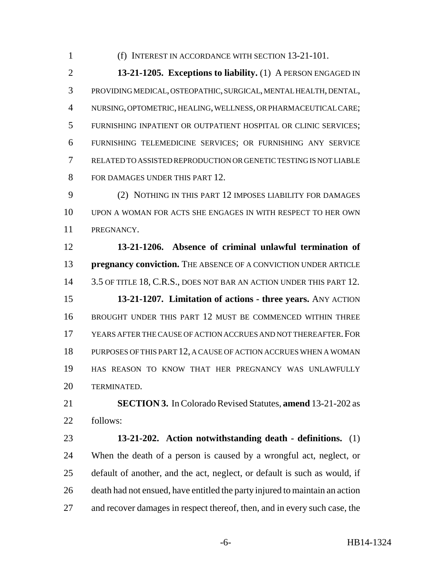(f) INTEREST IN ACCORDANCE WITH SECTION 13-21-101.

**13-21-1205. Exceptions to liability.** (1) A PERSON ENGAGED IN PROVIDING MEDICAL, OSTEOPATHIC, SURGICAL, MENTAL HEALTH, DENTAL, NURSING, OPTOMETRIC, HEALING, WELLNESS, OR PHARMACEUTICAL CARE; FURNISHING INPATIENT OR OUTPATIENT HOSPITAL OR CLINIC SERVICES; FURNISHING TELEMEDICINE SERVICES; OR FURNISHING ANY SERVICE RELATED TO ASSISTED REPRODUCTION OR GENETIC TESTING IS NOT LIABLE FOR DAMAGES UNDER THIS PART 12.

 (2) NOTHING IN THIS PART 12 IMPOSES LIABILITY FOR DAMAGES UPON A WOMAN FOR ACTS SHE ENGAGES IN WITH RESPECT TO HER OWN PREGNANCY.

 **13-21-1206. Absence of criminal unlawful termination of pregnancy conviction.** THE ABSENCE OF A CONVICTION UNDER ARTICLE 14 3.5 OF TITLE 18, C.R.S., DOES NOT BAR AN ACTION UNDER THIS PART 12. **13-21-1207. Limitation of actions - three years.** ANY ACTION BROUGHT UNDER THIS PART 12 MUST BE COMMENCED WITHIN THREE YEARS AFTER THE CAUSE OF ACTION ACCRUES AND NOT THEREAFTER.FOR PURPOSES OF THIS PART 12, A CAUSE OF ACTION ACCRUES WHEN A WOMAN HAS REASON TO KNOW THAT HER PREGNANCY WAS UNLAWFULLY TERMINATED.

 **SECTION 3.** In Colorado Revised Statutes, **amend** 13-21-202 as follows:

 **13-21-202. Action notwithstanding death - definitions.** (1) When the death of a person is caused by a wrongful act, neglect, or default of another, and the act, neglect, or default is such as would, if death had not ensued, have entitled the party injured to maintain an action and recover damages in respect thereof, then, and in every such case, the